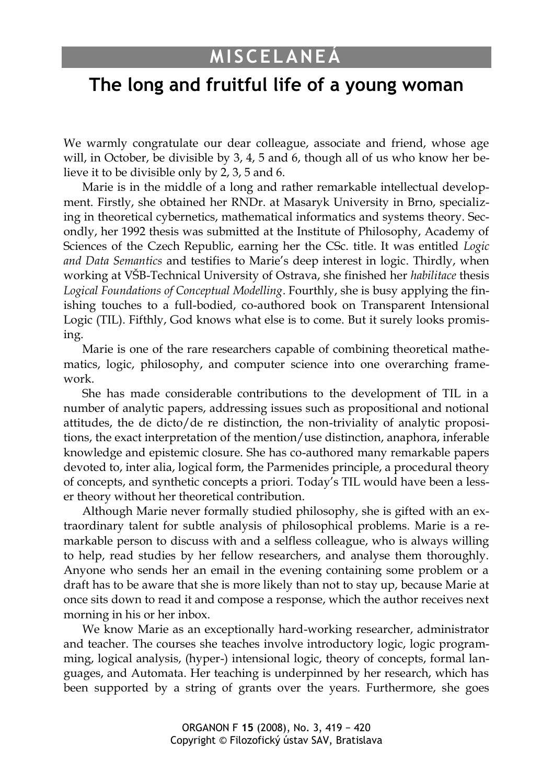## **MISCELANEÁ**

## **The long and fruitful life of a young woman**

We warmly congratulate our dear colleague, associate and friend, whose age will, in October, be divisible by 3, 4, 5 and 6, though all of us who know her believe it to be divisible only by 2, 3, 5 and 6.

Marie is in the middle of a long and rather remarkable intellectual development. Firstly, she obtained her RNDr. at Masaryk University in Brno, specializing in theoretical cybernetics, mathematical informatics and systems theory. Secondly, her 1992 thesis was submitted at the Institute of Philosophy, Academy of Sciences of the Czech Republic, earning her the CSc. title. It was entitled *Logic and Data Semantics* and testifies to Marie's deep interest in logic. Thirdly, when working at VŠB-Technical University of Ostrava, she finished her *habilitace* thesis *Logical Foundations of Conceptual Modelling*. Fourthly, she is busy applying the finishing touches to a full-bodied, co-authored book on Transparent Intensional Logic (TIL). Fifthly, God knows what else is to come. But it surely looks promising.

Marie is one of the rare researchers capable of combining theoretical mathematics, logic, philosophy, and computer science into one overarching framework.

She has made considerable contributions to the development of TIL in a number of analytic papers, addressing issues such as propositional and notional attitudes, the de dicto/de re distinction, the non-triviality of analytic propositions, the exact interpretation of the mention/use distinction, anaphora, inferable knowledge and epistemic closure. She has co-authored many remarkable papers devoted to, inter alia, logical form, the Parmenides principle, a procedural theory of concepts, and synthetic concepts a priori. Today's TIL would have been a lesser theory without her theoretical contribution.

Although Marie never formally studied philosophy, she is gifted with an extraordinary talent for subtle analysis of philosophical problems. Marie is a remarkable person to discuss with and a selfless colleague, who is always willing to help, read studies by her fellow researchers, and analyse them thoroughly. Anyone who sends her an email in the evening containing some problem or a draft has to be aware that she is more likely than not to stay up, because Marie at once sits down to read it and compose a response, which the author receives next morning in his or her inbox.

We know Marie as an exceptionally hard-working researcher, administrator and teacher. The courses she teaches involve introductory logic, logic programming, logical analysis, (hyper-) intensional logic, theory of concepts, formal languages, and Automata. Her teaching is underpinned by her research, which has been supported by a string of grants over the years. Furthermore, she goes